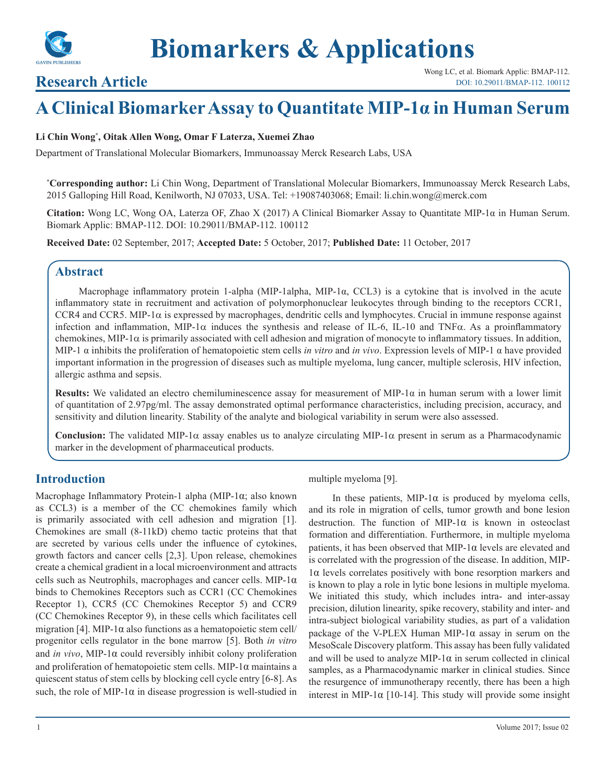

# **Research Article**

# **A Clinical Biomarker Assay to Quantitate MIP-1α in Human Serum**

#### **Li Chin Wong\* , Oitak Allen Wong, Omar F Laterza, Xuemei Zhao**

Department of Translational Molecular Biomarkers, Immunoassay Merck Research Labs, USA

**\* Corresponding author:** Li Chin Wong, Department of Translational Molecular Biomarkers, Immunoassay Merck Research Labs, 2015 Galloping Hill Road, Kenilworth, NJ 07033, USA. Tel: +19087403068; Email: li.chin.wong@merck.com

**Citation:** Wong LC, Wong OA, Laterza OF, Zhao X (2017) A Clinical Biomarker Assay to Quantitate MIP-1α in Human Serum. Biomark Applic: BMAP-112. DOI: 10.29011/BMAP-112. 100112

**Received Date:** 02 September, 2017; **Accepted Date:** 5 October, 2017; **Published Date:** 11 October, 2017

# **Abstract**

Macrophage inflammatory protein 1-alpha (MIP-1alpha, MIP-1α, CCL3) is a cytokine that is involved in the acute inflammatory state in recruitment and activation of polymorphonuclear leukocytes through binding to the receptors CCR1, CCR4 and CCR5. MIP-1 $\alpha$  is expressed by macrophages, dendritic cells and lymphocytes. Crucial in immune response against infection and inflammation, MIP-1 $\alpha$  induces the synthesis and release of IL-6, IL-10 and TNF $\alpha$ . As a proinflammatory chemokines, MIP-1 $\alpha$  is primarily associated with cell adhesion and migration of monocyte to inflammatory tissues. In addition, MIP-1 α inhibits the proliferation of hematopoietic stem cells *in vitro* and *in vivo*. Expression levels of MIP-1 α have provided important information in the progression of diseases such as multiple myeloma, lung cancer, multiple sclerosis, HIV infection, allergic asthma and sepsis.

**Results:** We validated an electro chemiluminescence assay for measurement of MIP-1α in human serum with a lower limit of quantitation of 2.97pg/ml. The assay demonstrated optimal performance characteristics, including precision, accuracy, and sensitivity and dilution linearity. Stability of the analyte and biological variability in serum were also assessed.

**Conclusion:** The validated MIP-1α assay enables us to analyze circulating MIP-1α present in serum as a Pharmacodynamic marker in the development of pharmaceutical products.

# **Introduction**

Macrophage Inflammatory Protein-1 alpha (MIP-1α; also known as CCL3) is a member of the CC chemokines family which is primarily associated with cell adhesion and migration [1]. Chemokines are small (8-11kD) chemo tactic proteins that that are secreted by various cells under the influence of cytokines, growth factors and cancer cells [2,3]. Upon release, chemokines create a chemical gradient in a local microenvironment and attracts cells such as Neutrophils, macrophages and cancer cells. MIP-1 $\alpha$ binds to Chemokines Receptors such as CCR1 (CC Chemokines Receptor 1), CCR5 (CC Chemokines Receptor 5) and CCR9 (CC Chemokines Receptor 9), in these cells which facilitates cell migration [4]. MIP-1 $\alpha$  also functions as a hematopoietic stem cell/ progenitor cells regulator in the bone marrow [5]. Both *in vitro* and *in vivo*, MIP-1α could reversibly inhibit colony proliferation and proliferation of hematopoietic stem cells. MIP-1 $\alpha$  maintains a quiescent status of stem cells by blocking cell cycle entry [6-8]. As such, the role of MIP-1 $\alpha$  in disease progression is well-studied in

#### multiple myeloma [9].

In these patients, MIP-1 $\alpha$  is produced by myeloma cells, and its role in migration of cells, tumor growth and bone lesion destruction. The function of MIP-1 $\alpha$  is known in osteoclast formation and differentiation. Furthermore, in multiple myeloma patients, it has been observed that MIP-1 $\alpha$  levels are elevated and is correlated with the progression of the disease. In addition, MIP-1α levels correlates positively with bone resorption markers and is known to play a role in lytic bone lesions in multiple myeloma. We initiated this study, which includes intra- and inter-assay precision, dilution linearity, spike recovery, stability and inter- and intra-subject biological variability studies, as part of a validation package of the V-PLEX Human MIP-1 $\alpha$  assay in serum on the MesoScale Discovery platform. This assay has been fully validated and will be used to analyze MIP-1 $\alpha$  in serum collected in clinical samples, as a Pharmacodynamic marker in clinical studies. Since the resurgence of immunotherapy recently, there has been a high interest in MIP-1 $\alpha$  [10-14]. This study will provide some insight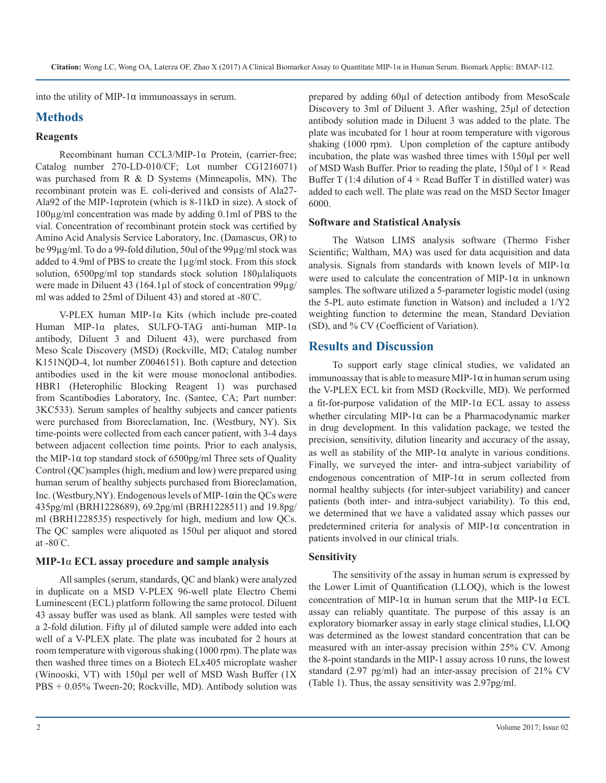into the utility of MIP-1 $\alpha$  immunoassays in serum.

# **Methods**

#### **Reagents**

Recombinant human CCL3/MIP-1α Protein, (carrier-free; Catalog number 270-LD-010/CF; Lot number CG1216071) was purchased from R & D Systems (Minneapolis, MN). The recombinant protein was E. coli-derived and consists of Ala27- Ala92 of the MIP-1αprotein (which is 8-11kD in size). A stock of 100µg/ml concentration was made by adding 0.1ml of PBS to the vial. Concentration of recombinant protein stock was certified by Amino Acid Analysis Service Laboratory, Inc. (Damascus, OR) to be 99µg/ml. To do a 99-fold dilution, 50ul of the 99µg/ml stock was added to 4.9ml of PBS to create the 1µg/ml stock. From this stock solution, 6500pg/ml top standards stock solution 180µlaliquots were made in Diluent 43 (164.1µl of stock of concentration 99µg/ ml was added to 25ml of Diluent 43) and stored at -80° C.

V-PLEX human MIP-1α Kits (which include pre-coated Human MIP-1α plates, SULFO-TAG anti-human MIP-1α antibody, Diluent 3 and Diluent 43), were purchased from Meso Scale Discovery (MSD) (Rockville, MD; Catalog number K151NQD-4, lot number Z0046151). Both capture and detection antibodies used in the kit were mouse monoclonal antibodies. HBR1 (Heterophilic Blocking Reagent 1) was purchased from Scantibodies Laboratory, Inc. (Santee, CA; Part number: 3KC533). Serum samples of healthy subjects and cancer patients were purchased from Bioreclamation, Inc. (Westbury, NY). Six time-points were collected from each cancer patient, with 3-4 days between adjacent collection time points. Prior to each analysis, the MIP-1 $\alpha$  top standard stock of 6500pg/ml Three sets of Quality Control (QC)samples (high, medium and low) were prepared using human serum of healthy subjects purchased from Bioreclamation, Inc. (Westbury, NY). Endogenous levels of MIP-1 $\alpha$ in the QCs were 435pg/ml (BRH1228689), 69.2pg/ml (BRH1228511) and 19.8pg/ ml (BRH1228535) respectively for high, medium and low QCs. The QC samples were aliquoted as 150ul per aliquot and stored at -80° C.

#### **MIP-1**α **ECL assay procedure and sample analysis**

All samples (serum, standards, QC and blank) were analyzed in duplicate on a MSD V-PLEX 96-well plate Electro Chemi Luminescent (ECL) platform following the same protocol. Diluent 43 assay buffer was used as blank. All samples were tested with a 2-fold dilution. Fifty μl of diluted sample were added into each well of a V-PLEX plate. The plate was incubated for 2 hours at room temperature with vigorous shaking (1000 rpm). The plate was then washed three times on a Biotech ELx405 microplate washer (Winooski, VT) with 150μl per well of MSD Wash Buffer (1X PBS + 0.05% Tween-20; Rockville, MD). Antibody solution was prepared by adding 60µl of detection antibody from MesoScale Discovery to 3ml of Diluent 3. After washing, 25μl of detection antibody solution made in Diluent 3 was added to the plate. The plate was incubated for 1 hour at room temperature with vigorous shaking (1000 rpm). Upon completion of the capture antibody incubation, the plate was washed three times with 150μl per well of MSD Wash Buffer. Prior to reading the plate,  $150 \mu$ l of  $1 \times$  Read Buffer T (1:4 dilution of  $4 \times$  Read Buffer T in distilled water) was added to each well. The plate was read on the MSD Sector Imager 6000.

#### **Software and Statistical Analysis**

The Watson LIMS analysis software (Thermo Fisher Scientific; Waltham, MA) was used for data acquisition and data analysis. Signals from standards with known levels of MIP-1 $\alpha$ were used to calculate the concentration of MIP-1 $\alpha$  in unknown samples. The software utilized a 5-parameter logistic model (using the 5-PL auto estimate function in Watson) and included a 1/Y2 weighting function to determine the mean, Standard Deviation (SD), and % CV (Coefficient of Variation).

# **Results and Discussion**

To support early stage clinical studies, we validated an immunoassay that is able to measure MIP-1 $\alpha$  in human serum using the V-PLEX ECL kit from MSD (Rockville, MD). We performed a fit-for-purpose validation of the MIP-1α ECL assay to assess whether circulating MIP-1α can be a Pharmacodynamic marker in drug development. In this validation package, we tested the precision, sensitivity, dilution linearity and accuracy of the assay, as well as stability of the MIP-1 $\alpha$  analyte in various conditions. Finally, we surveyed the inter- and intra-subject variability of endogenous concentration of MIP-1 $\alpha$  in serum collected from normal healthy subjects (for inter-subject variability) and cancer patients (both inter- and intra-subject variability). To this end, we determined that we have a validated assay which passes our predetermined criteria for analysis of MIP-1α concentration in patients involved in our clinical trials.

#### **Sensitivity**

The sensitivity of the assay in human serum is expressed by the Lower Limit of Quantification (LLOQ), which is the lowest concentration of MIP-1α in human serum that the MIP-1α ECL assay can reliably quantitate. The purpose of this assay is an exploratory biomarker assay in early stage clinical studies, LLOQ was determined as the lowest standard concentration that can be measured with an inter-assay precision within 25% CV. Among the 8-point standards in the MIP-1 assay across 10 runs, the lowest standard (2.97 pg/ml) had an inter-assay precision of 21% CV (Table 1). Thus, the assay sensitivity was 2.97pg/ml.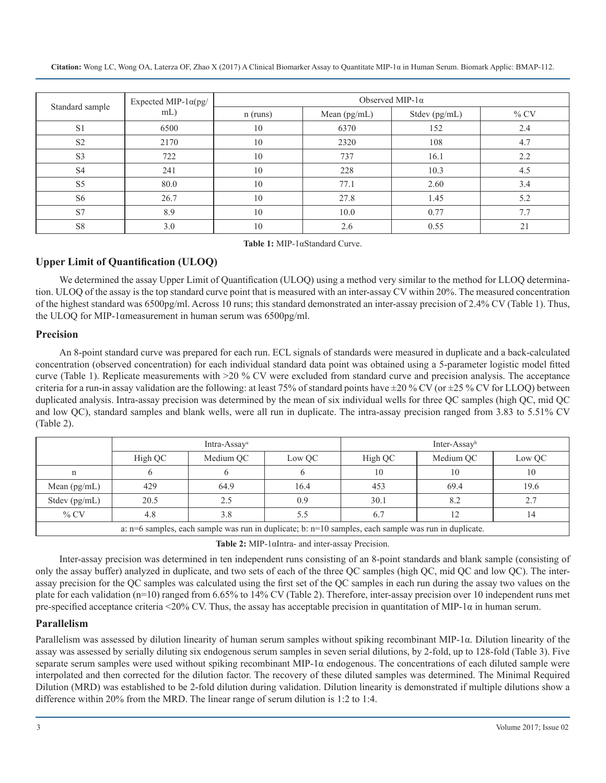| Standard sample | Expected MIP- $1\alpha$ (pg/ | Observed MIP-1 $\alpha$ |                |               |         |  |
|-----------------|------------------------------|-------------------------|----------------|---------------|---------|--|
|                 | mL)                          | $n$ (runs)              | Mean $(pg/mL)$ | Stdev (pg/mL) | $\%$ CV |  |
| S <sub>1</sub>  | 6500                         | 10                      | 6370           | 152           | 2.4     |  |
| S <sub>2</sub>  | 2170                         | 10                      | 2320           | 108           | 4.7     |  |
| S <sub>3</sub>  | 722                          | 10                      | 737            | 16.1          | 2.2     |  |
| S <sub>4</sub>  | 241                          | 10                      | 228            | 10.3          | 4.5     |  |
| S <sub>5</sub>  | 80.0                         | 10                      | 77.1           | 2.60          | 3.4     |  |
| S <sub>6</sub>  | 26.7                         | 10                      | 27.8           | 1.45          | 5.2     |  |
| S7              | 8.9                          | 10                      | 10.0           | 0.77          | 7.7     |  |
| S8              | 3.0                          | 10                      | 2.6            | 0.55          | 21      |  |

**Table 1:** MIP-1αStandard Curve.

# **Upper Limit of Quantification (ULOQ)**

We determined the assay Upper Limit of Quantification (ULOQ) using a method very similar to the method for LLOQ determination. ULOQ of the assay is the top standard curve point that is measured with an inter-assay CV within 20%. The measured concentration of the highest standard was 6500pg/ml. Across 10 runs; this standard demonstrated an inter-assay precision of 2.4% CV (Table 1). Thus, the ULOQ for MIP-1αmeasurement in human serum was 6500pg/ml.

#### **Precision**

An 8-point standard curve was prepared for each run. ECL signals of standards were measured in duplicate and a back-calculated concentration (observed concentration) for each individual standard data point was obtained using a 5-parameter logistic model fitted curve (Table 1). Replicate measurements with >20 % CV were excluded from standard curve and precision analysis. The acceptance criteria for a run-in assay validation are the following: at least 75% of standard points have  $\pm 20$  % CV (or  $\pm 25$  % CV for LLOQ) between duplicated analysis. Intra-assay precision was determined by the mean of six individual wells for three QC samples (high QC, mid QC and low QC), standard samples and blank wells, were all run in duplicate. The intra-assay precision ranged from 3.83 to 5.51% CV (Table 2).

|                                                                                                          | Intra-Assay <sup>a</sup> |           |        | Inter-Assay <sup>b</sup> |           |        |
|----------------------------------------------------------------------------------------------------------|--------------------------|-----------|--------|--------------------------|-----------|--------|
|                                                                                                          | High QC                  | Medium QC | Low OC | High QC                  | Medium QC | Low QC |
|                                                                                                          |                          |           |        | 10                       | 10        | 10     |
| Mean $(pg/mL)$                                                                                           | 429                      | 64.9      | 16.4   | 453                      | 69.4      | 19.6   |
| Stdev (pg/mL)                                                                                            | 20.5                     | 2.5       | 0.9    | 30.1                     | 8.2       | 2.7    |
| $\%$ CV                                                                                                  | 4.8                      | 3.8       |        | 6.7                      |           |        |
| a: $n=6$ samples, each sample was run in duplicate; b: $n=10$ samples, each sample was run in duplicate. |                          |           |        |                          |           |        |

**Table 2:** MIP-1αIntra- and inter-assay Precision.

Inter-assay precision was determined in ten independent runs consisting of an 8-point standards and blank sample (consisting of only the assay buffer) analyzed in duplicate, and two sets of each of the three QC samples (high QC, mid QC and low QC). The interassay precision for the QC samples was calculated using the first set of the QC samples in each run during the assay two values on the plate for each validation (n=10) ranged from 6.65% to 14% CV (Table 2). Therefore, inter-assay precision over 10 independent runs met pre-specified acceptance criteria <20% CV. Thus, the assay has acceptable precision in quantitation of MIP-1 $\alpha$  in human serum.

#### **Parallelism**

Parallelism was assessed by dilution linearity of human serum samples without spiking recombinant MIP-1α. Dilution linearity of the assay was assessed by serially diluting six endogenous serum samples in seven serial dilutions, by 2-fold, up to 128-fold (Table 3). Five separate serum samples were used without spiking recombinant MIP-1α endogenous. The concentrations of each diluted sample were interpolated and then corrected for the dilution factor. The recovery of these diluted samples was determined. The Minimal Required Dilution (MRD) was established to be 2-fold dilution during validation. Dilution linearity is demonstrated if multiple dilutions show a difference within 20% from the MRD. The linear range of serum dilution is 1:2 to 1:4.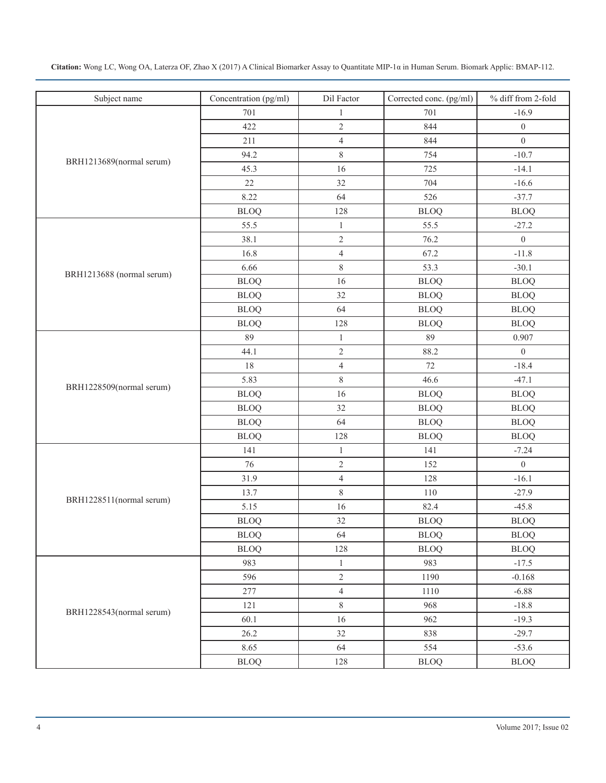| Citation: Wong LC, Wong OA, Laterza OF, Zhao X (2017) A Clinical Biomarker Assay to Quantitate MIP-1a in Human Serum. Biomark Applic: BMAP-112. |  |  |
|-------------------------------------------------------------------------------------------------------------------------------------------------|--|--|
|-------------------------------------------------------------------------------------------------------------------------------------------------|--|--|

| Subject name              | Concentration (pg/ml) | Dil Factor     | Corrected conc. (pg/ml) | % diff from 2-fold |
|---------------------------|-----------------------|----------------|-------------------------|--------------------|
|                           | 701                   | $\mathbf{1}$   | 701                     | $-16.9$            |
|                           | 422                   | $\overline{c}$ | 844                     | $\boldsymbol{0}$   |
|                           | 211                   | $\overline{4}$ | 844                     | $\boldsymbol{0}$   |
| BRH1213689(normal serum)  | 94.2                  | $\,$ 8 $\,$    | 754                     | $-10.7$            |
|                           | 45.3                  | 16             | 725                     | $-14.1$            |
|                           | $22\,$                | 32             | 704                     | $-16.6$            |
|                           | 8.22                  | 64             | 526                     | $-37.7$            |
|                           | <b>BLOQ</b>           | 128            | <b>BLOQ</b>             | <b>BLOQ</b>        |
|                           | 55.5                  | $\mathbf{1}$   | 55.5                    | $-27.2$            |
|                           | 38.1                  | $\sqrt{2}$     | 76.2                    | $\boldsymbol{0}$   |
|                           | 16.8                  | $\overline{4}$ | 67.2                    | $-11.8$            |
|                           | 6.66                  | $\,$ 8 $\,$    | 53.3                    | $-30.1$            |
| BRH1213688 (normal serum) | <b>BLOQ</b>           | 16             | <b>BLOQ</b>             | <b>BLOQ</b>        |
|                           | <b>BLOQ</b>           | 32             | <b>BLOQ</b>             | <b>BLOQ</b>        |
|                           | <b>BLOQ</b>           | 64             | <b>BLOQ</b>             | <b>BLOQ</b>        |
|                           | <b>BLOQ</b>           | 128            | <b>BLOQ</b>             | <b>BLOQ</b>        |
|                           | 89                    | $\mathbf{1}$   | 89                      | 0.907              |
|                           | 44.1                  | $\sqrt{2}$     | 88.2                    | $\boldsymbol{0}$   |
|                           | $18\,$                | $\overline{4}$ | 72                      | $-18.4$            |
|                           | 5.83                  | $\,$ 8 $\,$    | 46.6                    | $-47.1$            |
| BRH1228509(normal serum)  | <b>BLOQ</b>           | 16             | <b>BLOQ</b>             | <b>BLOQ</b>        |
|                           | <b>BLOQ</b>           | 32             | <b>BLOQ</b>             | <b>BLOQ</b>        |
|                           | <b>BLOQ</b>           | 64             | <b>BLOQ</b>             | <b>BLOQ</b>        |
|                           | <b>BLOQ</b>           | 128            | <b>BLOQ</b>             | <b>BLOQ</b>        |
|                           | 141                   | $\mathbf{1}$   | 141                     | $-7.24$            |
|                           | 76                    | $\sqrt{2}$     | 152                     | $\boldsymbol{0}$   |
|                           | 31.9                  | $\overline{4}$ | 128                     | $-16.1$            |
|                           | 13.7                  | $8\,$          | 110                     | $-27.9$            |
| BRH1228511(normal serum)  | 5.15                  | 16             | 82.4                    | $-45.8$            |
|                           | <b>BLOQ</b>           | 32             | <b>BLOQ</b>             | <b>BLOQ</b>        |
|                           | <b>BLOQ</b>           | 64             | <b>BLOQ</b>             | <b>BLOQ</b>        |
|                           | <b>BLOQ</b>           | 128            | <b>BLOQ</b>             | <b>BLOQ</b>        |
|                           | 983                   | $\mathbf{1}$   | 983                     | $-17.5$            |
|                           | 596                   | $\overline{2}$ | 1190                    | $-0.168$           |
|                           | 277                   | $\overline{4}$ | 1110                    | $-6.88$            |
|                           | 121                   | $8\,$          | 968                     | $-18.8$            |
| BRH1228543(normal serum)  | 60.1                  | 16             | 962                     | $-19.3$            |
|                           | 26.2                  | 32             | 838                     | $-29.7$            |
|                           | 8.65                  | 64             | 554                     | $-53.6$            |
|                           | <b>BLOQ</b>           | 128            | <b>BLOQ</b>             | ${\rm BLOQ}$       |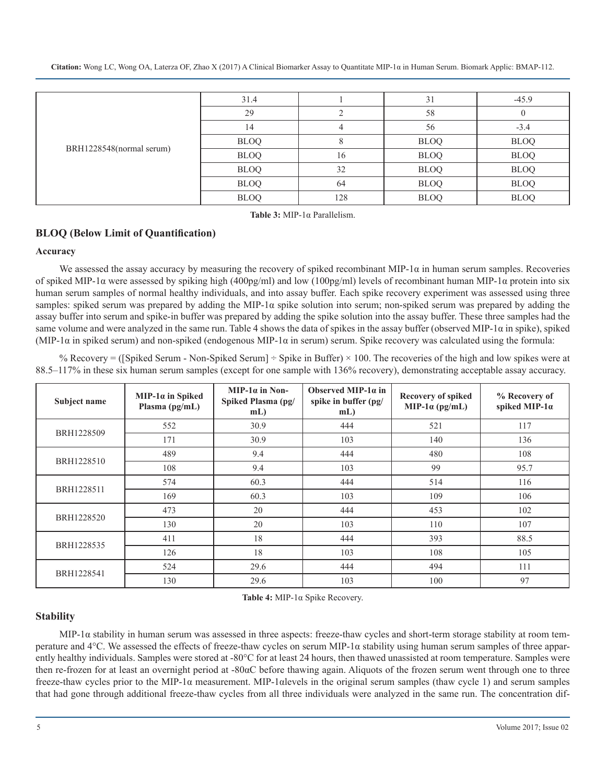|                          | 31.4        |     | 31          | $-45.9$     |
|--------------------------|-------------|-----|-------------|-------------|
|                          | 29          |     | 58          |             |
|                          | 14          |     | 56          | $-3.4$      |
|                          | <b>BLOQ</b> |     | <b>BLOQ</b> | <b>BLOQ</b> |
| BRH1228548(normal serum) | <b>BLOQ</b> | 16  | <b>BLOQ</b> | <b>BLOQ</b> |
|                          | <b>BLOQ</b> | 32  | <b>BLOQ</b> | <b>BLOQ</b> |
|                          | <b>BLOQ</b> | 64  | <b>BLOQ</b> | <b>BLOQ</b> |
|                          | <b>BLOQ</b> | 128 | <b>BLOQ</b> | <b>BLOQ</b> |

**Table 3:** MIP-1α Parallelism.

# **BLOQ (Below Limit of Quantification)**

#### **Accuracy**

We assessed the assay accuracy by measuring the recovery of spiked recombinant MIP-1 $\alpha$  in human serum samples. Recoveries of spiked MIP-1α were assessed by spiking high (400pg/ml) and low (100pg/ml) levels of recombinant human MIP-1α protein into six human serum samples of normal healthy individuals, and into assay buffer. Each spike recovery experiment was assessed using three samples: spiked serum was prepared by adding the MIP-1α spike solution into serum; non-spiked serum was prepared by adding the assay buffer into serum and spike-in buffer was prepared by adding the spike solution into the assay buffer. These three samples had the same volume and were analyzed in the same run. Table 4 shows the data of spikes in the assay buffer (observed MIP-1 $\alpha$  in spike), spiked (MIP-1 $\alpha$  in spiked serum) and non-spiked (endogenous MIP-1 $\alpha$  in serum) serum. Spike recovery was calculated using the formula:

% Recovery = ([Spiked Serum - Non-Spiked Serum]  $\div$  Spike in Buffer)  $\times$  100. The recoveries of the high and low spikes were at 88.5–117% in these six human serum samples (except for one sample with 136% recovery), demonstrating acceptable assay accuracy.

| Subject name | MIP-1 $\alpha$ in Spiked<br>Plasma $(pg/mL)$ | $MIP-1\alpha$ in Non-<br>Spiked Plasma (pg/<br>$mL$ ) | Observed MIP-1 $\alpha$ in<br>spike in buffer (pg/<br>$mL$ ) | <b>Recovery of spiked</b><br>MIP-1 $\alpha$ (pg/mL) | % Recovery of<br>spiked MIP- $1\alpha$ |
|--------------|----------------------------------------------|-------------------------------------------------------|--------------------------------------------------------------|-----------------------------------------------------|----------------------------------------|
| BRH1228509   | 552                                          | 30.9                                                  | 444                                                          | 521                                                 | 117                                    |
|              | 171                                          | 30.9                                                  | 103                                                          | 140                                                 | 136                                    |
| BRH1228510   | 489                                          | 9.4                                                   | 444                                                          | 480                                                 | 108                                    |
|              | 108                                          | 9.4                                                   | 103                                                          | 99                                                  | 95.7                                   |
|              | 574                                          | 60.3                                                  | 444                                                          | 514                                                 | 116                                    |
| BRH1228511   | 169                                          | 60.3                                                  | 103                                                          | 109                                                 | 106                                    |
| BRH1228520   | 473                                          | 20                                                    | 444                                                          | 453                                                 | 102                                    |
|              | 130                                          | 20                                                    | 103                                                          | 110                                                 | 107                                    |
| BRH1228535   | 411                                          | 18                                                    | 444                                                          | 393                                                 | 88.5                                   |
|              | 126                                          | 18                                                    | 103                                                          | 108                                                 | 105                                    |
|              | 524                                          | 29.6                                                  | 444                                                          | 494                                                 | 111                                    |
| BRH1228541   | 130                                          | 29.6                                                  | 103                                                          | 100                                                 | 97                                     |

**Table 4:** MIP-1α Spike Recovery.

#### **Stability**

MIP-1α stability in human serum was assessed in three aspects: freeze-thaw cycles and short-term storage stability at room temperature and 4°C. We assessed the effects of freeze-thaw cycles on serum MIP-1 $\alpha$  stability using human serum samples of three apparently healthy individuals. Samples were stored at -80°C for at least 24 hours, then thawed unassisted at room temperature. Samples were then re-frozen for at least an overnight period at -80αC before thawing again. Aliquots of the frozen serum went through one to three freeze-thaw cycles prior to the MIP-1α measurement. MIP-1αlevels in the original serum samples (thaw cycle 1) and serum samples that had gone through additional freeze-thaw cycles from all three individuals were analyzed in the same run. The concentration dif-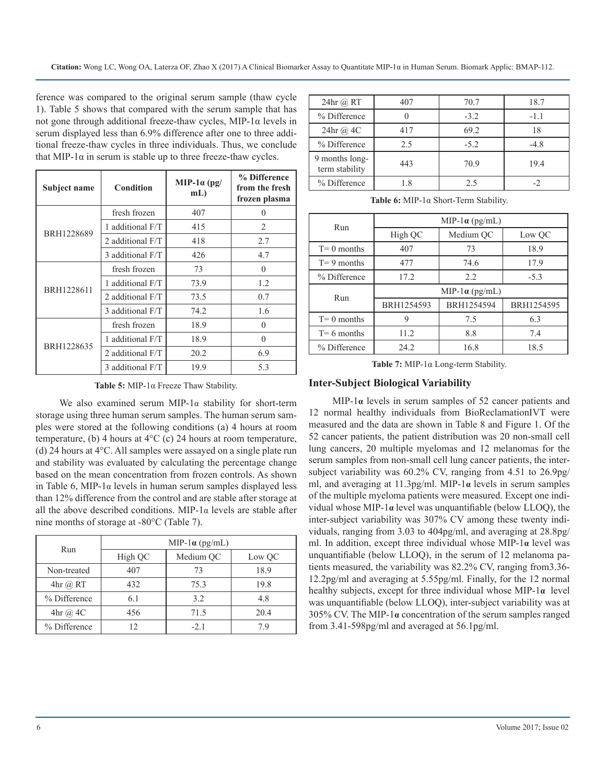ference was compared to the original serum sample (thaw cycle 1). Table 5 shows that compared with the serum sample that has not gone through additional freeze-thaw cycles, MIP-1α levels in serum displayed less than 6.9% difference after one to three additional freeze-thaw cycles in three individuals. Thus, we conclude that MIP-1 $\alpha$  in serum is stable up to three freeze-thaw cycles.

| Subject name | Condition        | MIP-1 $\alpha$ (pg/<br>$mL$ ) | % Difference<br>from the fresh<br>frozen plasma |
|--------------|------------------|-------------------------------|-------------------------------------------------|
|              | fresh frozen     | 407                           | 0                                               |
|              | 1 additional F/T | 415                           | $\mathfrak{D}$                                  |
| BRH1228689   | 2 additional F/T | 418                           | 2.7                                             |
|              | 3 additional F/T | 426                           | 4.7                                             |
|              | fresh frozen     | 73                            | $\theta$                                        |
| BRH1228611   | 1 additional F/T | 73.9                          | 1.2                                             |
|              | 2 additional F/T | 73.5                          | 0.7                                             |
|              | 3 additional F/T | 74.2                          | 1.6                                             |
|              | fresh frozen     | 18.9                          | $\Omega$                                        |
| BRH1228635   | 1 additional F/T | 18.9                          | $\Omega$                                        |
|              | 2 additional F/T | 20.2                          | 6.9                                             |
|              | 3 additional F/T | 19.9                          | 5.3                                             |

**Table 5:** MIP-1α Freeze Thaw Stability.

We also examined serum MIP-1 $\alpha$  stability for short-term storage using three human serum samples. The human serum samples were stored at the following conditions (a) 4 hours at room temperature, (b) 4 hours at  $4^{\circ}$ C (c) 24 hours at room temperature, (d) 24 hours at 4°C. All samples were assayed on a single plate run and stability was evaluated by calculating the percentage change based on the mean concentration from frozen controls. As shown in Table 6, MIP-1 $\alpha$  levels in human serum samples displayed less than 12% difference from the control and are stable after storage at all the above described conditions. MIP-1 $\alpha$  levels are stable after nine months of storage at -80°C (Table 7).

| Run            | MIP-1 $\alpha$ (pg/mL) |           |        |  |  |
|----------------|------------------------|-----------|--------|--|--|
|                | High QC                | Medium QC | Low QC |  |  |
| Non-treated    | 407                    | 73        | 18.9   |  |  |
| $4hr$ $@$ RT   | 432                    | 75.3      | 19.8   |  |  |
| % Difference   | 6.1                    | 3.2       | 4.8    |  |  |
| $4hr$ (a) $4C$ | 456                    | 71.5      | 20.4   |  |  |
| % Difference   | 12                     | $-2.1$    | 7 G    |  |  |

| $24hr$ $@$ RT                    | 407 | 70.7   | 18.7   |
|----------------------------------|-----|--------|--------|
| % Difference                     |     | $-3.2$ | $-1.1$ |
| 24hr @ 4C                        | 417 | 69.2   | 18     |
| % Difference                     | 2.5 | $-5.2$ | $-4.8$ |
| 9 months long-<br>term stability | 443 | 70.9   | 19.4   |
| % Difference                     | 1.8 | 2.5    |        |

**Table 6:** MIP-1α Short-Term Stability.

| Run            | MIP-1 $\alpha$ (pg/mL) |            |            |  |  |
|----------------|------------------------|------------|------------|--|--|
|                | High QC<br>Medium OC   |            | Low QC     |  |  |
| $T=0$ months   | 407                    | 73         | 18.9       |  |  |
| $T = 9$ months | 477                    | 74.6       | 17.9       |  |  |
| % Difference   | 17.2                   | 2.2        | $-5.3$     |  |  |
| Run            | MIP-1 $\alpha$ (pg/mL) |            |            |  |  |
|                | BRH1254593             | BRH1254594 | BRH1254595 |  |  |
| $T = 0$ months | 9                      | 7.5        | 6.3        |  |  |
| $T = 6$ months | 11.2                   | 8.8        | 7.4        |  |  |
| % Difference   | 24.2                   | 16.8       | 18.5       |  |  |

**Table 7:** MIP-1α Long-term Stability.

#### **Inter-Subject Biological Variability**

MIP-1**α** levels in serum samples of 52 cancer patients and 12 normal healthy individuals from BioReclamationIVT were measured and the data are shown in Table 8 and Figure 1. Of the 52 cancer patients, the patient distribution was 20 non-small cell lung cancers, 20 multiple myelomas and 12 melanomas for the serum samples from non-small cell lung cancer patients, the intersubject variability was 60.2% CV, ranging from 4.51 to 26.9pg/ ml, and averaging at 11.3pg/ml. MIP-1**α** levels in serum samples of the multiple myeloma patients were measured. Except one individual whose MIP-1**α** level was unquantifiable (below LLOQ), the inter-subject variability was 307% CV among these twenty individuals, ranging from 3.03 to 404pg/ml, and averaging at 28.8pg/ ml. In addition, except three individual whose MIP-1**α** level was unquantifiable (below LLOQ), in the serum of 12 melanoma patients measured, the variability was 82.2% CV, ranging from3.36- 12.2pg/ml and averaging at 5.55pg/ml. Finally, for the 12 normal healthy subjects, except for three individual whose MIP-1**α** level was unquantifiable (below LLOQ), inter-subject variability was at 305% CV. The MIP-1**α** concentration of the serum samples ranged from 3.41-598pg/ml and averaged at 56.1pg/ml.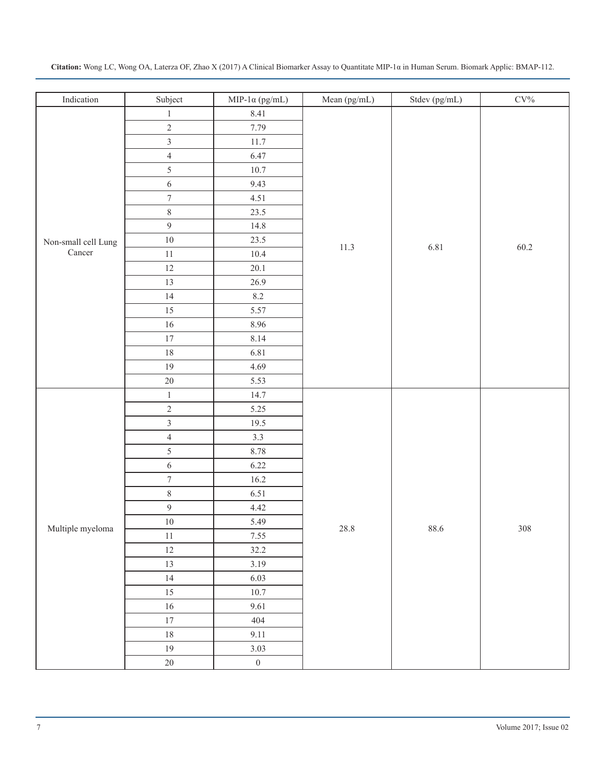| Indication          | Subject          | MIP-1 $\alpha$ (pg/mL) | Mean (pg/mL) | Stdev (pg/mL) | $\rm{CV}\%$ |
|---------------------|------------------|------------------------|--------------|---------------|-------------|
|                     | $\mathbf{1}$     | 8.41                   |              |               |             |
|                     | $\sqrt{2}$       | 7.79                   |              |               |             |
|                     | $\mathfrak{Z}$   | 11.7                   |              |               |             |
|                     | $\overline{4}$   | 6.47                   |              |               |             |
| Non-small cell Lung | $\sqrt{5}$       | 10.7                   |              |               |             |
|                     | $\sqrt{6}$       | 9.43                   |              |               |             |
|                     | $\boldsymbol{7}$ | 4.51                   |              |               |             |
|                     | $8\,$            | 23.5                   |              |               |             |
|                     | $\overline{9}$   | 14.8                   |              |               |             |
|                     | $10\,$           | 23.5                   | 11.3         | 6.81          | 60.2        |
| $\mbox{Cancer}$     | $11\,$           | $10.4\,$               |              |               |             |
|                     | $12\,$           | 20.1                   |              |               |             |
|                     | 13               | 26.9                   |              |               |             |
|                     | $14\,$           | $8.2\,$                |              |               |             |
|                     | $15\,$           | 5.57                   |              |               |             |
|                     | $16\,$           | 8.96                   |              |               |             |
|                     | $17\,$           | 8.14                   |              |               |             |
|                     | $18\,$           | 6.81                   |              |               |             |
|                     | $19\,$           | 4.69                   |              |               |             |
|                     | $20\,$           | 5.53                   |              |               |             |
|                     | $\,1\,$          | 14.7                   |              |               |             |
|                     | $\sqrt{2}$       | 5.25                   |              |               |             |
|                     | $\overline{3}$   | 19.5                   |              |               |             |
|                     | $\overline{4}$   | 3.3                    |              |               |             |
|                     | $\sqrt{5}$       | 8.78                   |              |               |             |
|                     | $\sqrt{6}$       | 6.22                   |              |               |             |
|                     | $\boldsymbol{7}$ | $16.2\,$               |              |               |             |
|                     | $\,8\,$          | 6.51                   |              |               |             |
|                     | $\overline{9}$   | 4.42                   |              |               |             |
| Multiple myeloma    | $10\,$           | 5.49                   | 28.8         | 88.6          | 308         |
|                     | $11\,$           | 7.55                   |              |               |             |
|                     | $12\,$           | 32.2                   |              |               |             |
|                     | 13               | 3.19                   |              |               |             |
|                     | 14               | 6.03                   |              |               |             |
|                     | 15               | 10.7                   |              |               |             |
|                     | $16\,$           | 9.61                   |              |               |             |
|                     | $17\,$           | 404                    |              |               |             |
|                     | $18\,$           | 9.11                   |              |               |             |
|                     | 19               | 3.03                   |              |               |             |
|                     | 20               | $0\,$                  |              |               |             |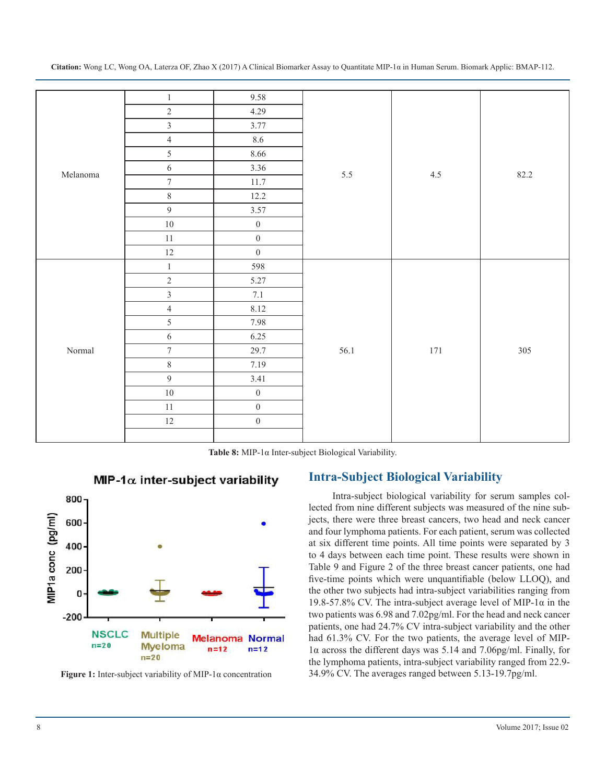|                 | $\,1\,$          | 9.58             |      |         |      |
|-----------------|------------------|------------------|------|---------|------|
|                 | $\sqrt{2}$       | 4.29             |      |         |      |
|                 | $\overline{3}$   | 3.77             |      |         |      |
|                 | $\overline{4}$   | 8.6              |      |         |      |
|                 | 5                | 8.66             |      |         |      |
| Melanoma        | $\sqrt{6}$       | 3.36             | 5.5  | $4.5$   | 82.2 |
|                 | $\boldsymbol{7}$ | 11.7             |      |         |      |
|                 | $8\,$            | 12.2             |      |         |      |
|                 | $\overline{9}$   | 3.57             |      |         |      |
|                 | $10\,$           | $\boldsymbol{0}$ |      |         |      |
|                 | $11\,$           | $\boldsymbol{0}$ |      |         |      |
|                 | $12\,$           | $\boldsymbol{0}$ |      |         |      |
|                 | $\,1\,$          | 598              |      | $171\,$ |      |
|                 | $\sqrt{2}$       | 5.27             |      |         | 305  |
|                 | $\overline{3}$   | 7.1              |      |         |      |
|                 | $\overline{4}$   | 8.12             |      |         |      |
|                 | $\mathfrak{S}$   | 7.98             |      |         |      |
|                 | $\sqrt{6}$       | 6.25             |      |         |      |
| $\mbox{Normal}$ | $\boldsymbol{7}$ | 29.7             | 56.1 |         |      |
|                 | $8\,$            | 7.19             |      |         |      |
|                 | $\overline{9}$   | 3.41             |      |         |      |
|                 | $10\,$           | $\boldsymbol{0}$ |      |         |      |
|                 | $11\,$           | $\boldsymbol{0}$ |      |         |      |
|                 | $12\,$           | $\boldsymbol{0}$ |      |         |      |
|                 |                  |                  |      |         |      |

**Citation:** Wong LC, Wong OA, Laterza OF, Zhao X (2017) A Clinical Biomarker Assay to Quantitate MIP-1α in Human Serum. Biomark Applic: BMAP-112.

**Table 8:** MIP-1α Inter-subject Biological Variability.



MIP-1 $\alpha$  inter-subject variability

**Figure 1:** Inter-subject variability of MIP-1α concentration

# **Intra-Subject Biological Variability**

Intra-subject biological variability for serum samples collected from nine different subjects was measured of the nine subjects, there were three breast cancers, two head and neck cancer and four lymphoma patients. For each patient, serum was collected at six different time points. All time points were separated by 3 to 4 days between each time point. These results were shown in Table 9 and Figure 2 of the three breast cancer patients, one had five-time points which were unquantifiable (below LLOQ), and the other two subjects had intra-subject variabilities ranging from 19.8-57.8% CV. The intra-subject average level of MIP-1α in the two patients was 6.98 and 7.02pg/ml. For the head and neck cancer patients, one had 24.7% CV intra-subject variability and the other had 61.3% CV. For the two patients, the average level of MIP-1α across the different days was 5.14 and 7.06pg/ml. Finally, for the lymphoma patients, intra-subject variability ranged from 22.9- 34.9% CV. The averages ranged between 5.13-19.7pg/ml.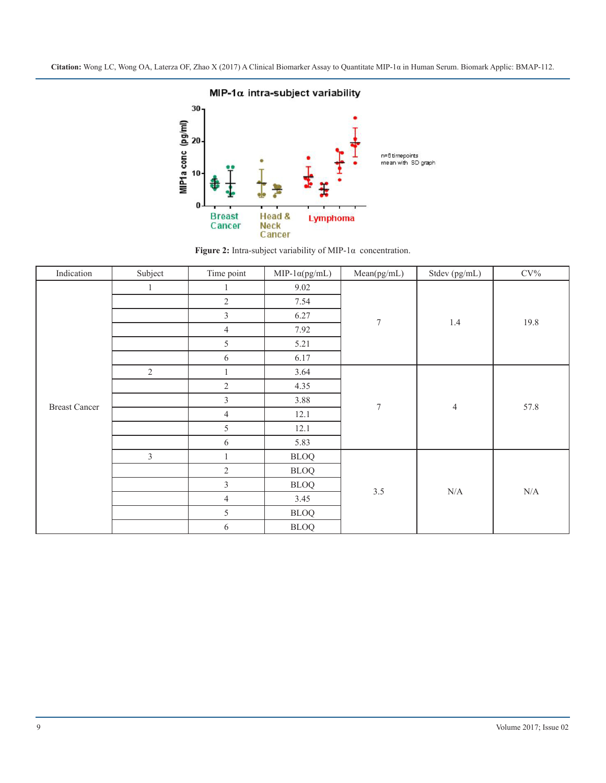



| Indication           | Subject        | Time point     | $MIP-1\alpha(pg/mL)$ | Mean(pg/mL)      | Stdev (pg/mL)  | $CV\%$    |
|----------------------|----------------|----------------|----------------------|------------------|----------------|-----------|
| <b>Breast Cancer</b> | 1              |                | 9.02                 | $\boldsymbol{7}$ | $1.4\,$        | 19.8      |
|                      |                | $\overline{2}$ | 7.54                 |                  |                |           |
|                      |                | $\overline{3}$ | 6.27                 |                  |                |           |
|                      |                | $\overline{4}$ | 7.92                 |                  |                |           |
|                      |                | 5              | 5.21                 |                  |                |           |
|                      |                | 6              | 6.17                 |                  |                |           |
|                      | $\sqrt{2}$     |                | 3.64                 | $\boldsymbol{7}$ | $\overline{4}$ | 57.8      |
|                      |                | $\mathbf{2}$   | 4.35                 |                  |                |           |
|                      |                | $\mathfrak{Z}$ | 3.88                 |                  |                |           |
|                      |                | $\overline{4}$ | 12.1                 |                  |                |           |
|                      |                | 5              | 12.1                 |                  |                |           |
|                      |                | 6              | 5.83                 |                  |                |           |
|                      | $\mathfrak{Z}$ |                | <b>BLOQ</b>          | $3.5$            | $\rm N/A$      | $\rm N/A$ |
|                      |                | $\mathbf{2}$   | <b>BLOQ</b>          |                  |                |           |
|                      |                | $\mathfrak{Z}$ | <b>BLOQ</b>          |                  |                |           |
|                      |                | $\overline{4}$ | 3.45                 |                  |                |           |
|                      |                | 5              | <b>BLOQ</b>          |                  |                |           |
|                      |                | 6              | <b>BLOQ</b>          |                  |                |           |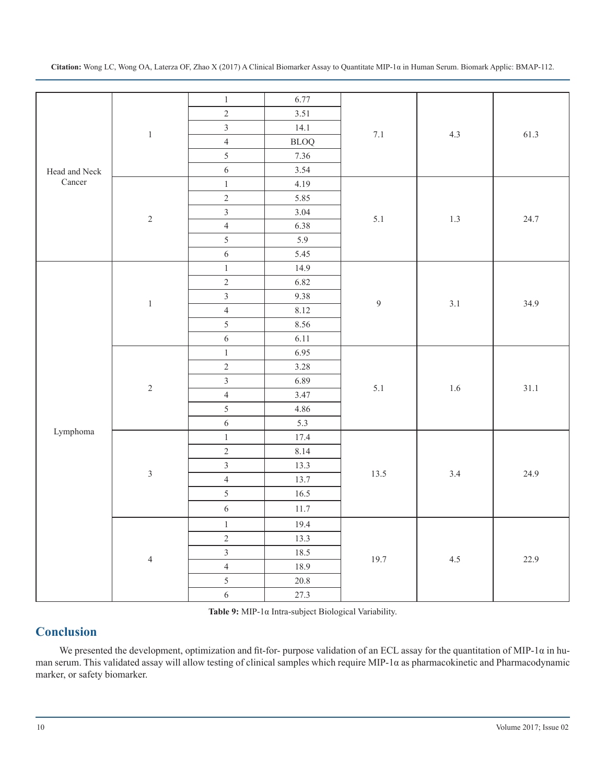| Head and Neck<br>Cancer | $\,1\,$        | $\,1\,$          | 6.77             |                | 4.3     | 61.3 |
|-------------------------|----------------|------------------|------------------|----------------|---------|------|
|                         |                | $\overline{2}$   | 3.51             | $7.1\,$        |         |      |
|                         |                | $\overline{3}$   | 14.1             |                |         |      |
|                         |                | $\overline{4}$   | <b>BLOQ</b>      |                |         |      |
|                         |                | 5                | 7.36             |                |         |      |
|                         |                | $\sqrt{6}$       | 3.54             |                |         |      |
|                         | $\sqrt{2}$     | $\,1\,$          | 4.19             | 5.1            | 1.3     | 24.7 |
|                         |                | $\sqrt{2}$       | 5.85             |                |         |      |
|                         |                | $\overline{3}$   | 3.04             |                |         |      |
|                         |                | $\overline{4}$   | 6.38             |                |         |      |
|                         |                | $\overline{5}$   | $\overline{5.9}$ |                |         |      |
|                         |                | $\sqrt{6}$       | 5.45             |                |         |      |
|                         | $\,1\,$        | $\,1\,$          | 14.9             |                | 3.1     | 34.9 |
|                         |                | $\sqrt{2}$       | 6.82             |                |         |      |
|                         |                | $\overline{3}$   | 9.38             |                |         |      |
|                         |                | $\overline{4}$   | 8.12             | $\overline{9}$ |         |      |
| Lymphoma                |                | 5                | 8.56             |                |         |      |
|                         |                | $\overline{6}$   | 6.11             |                |         |      |
|                         | $\sqrt{2}$     | $\,1\,$          | 6.95             | 5.1            | $1.6\,$ | 31.1 |
|                         |                | $\overline{2}$   | 3.28             |                |         |      |
|                         |                |                  | 6.89             |                |         |      |
|                         |                | $\overline{4}$   | 3.47             |                |         |      |
|                         |                | $\mathfrak{s}$   | 4.86             |                |         |      |
|                         |                | $\sqrt{6}$       | 5.3              |                |         |      |
|                         | $\mathfrak{Z}$ | $\,1\,$          | 17.4             | 13.5           | 3.4     | 24.9 |
|                         |                | $\overline{2}$   | 8.14             |                |         |      |
|                         |                | $\overline{3}$   | 13.3             |                |         |      |
|                         |                | $\overline{4}$   | 13.7             |                |         |      |
|                         |                | $\mathfrak{s}$   | 16.5             |                |         |      |
|                         |                | $\boldsymbol{6}$ | 11.7             |                |         |      |
|                         | $\overline{4}$ | $\,1\,$          | 19.4             | 19.7           | 4.5     | 22.9 |
|                         |                | $\sqrt{2}$       | 13.3             |                |         |      |
|                         |                | $\overline{3}$   | 18.5             |                |         |      |
|                         |                | $\overline{4}$   | 18.9             |                |         |      |
|                         |                | $\overline{5}$   | $20.8\,$         |                |         |      |
|                         |                | $\sqrt{6}$       | 27.3             |                |         |      |
|                         |                |                  |                  |                |         |      |

**Table 9:** MIP-1α Intra-subject Biological Variability.

# **Conclusion**

We presented the development, optimization and fit-for- purpose validation of an ECL assay for the quantitation of MIP-1α in human serum. This validated assay will allow testing of clinical samples which require MIP-1α as pharmacokinetic and Pharmacodynamic marker, or safety biomarker.